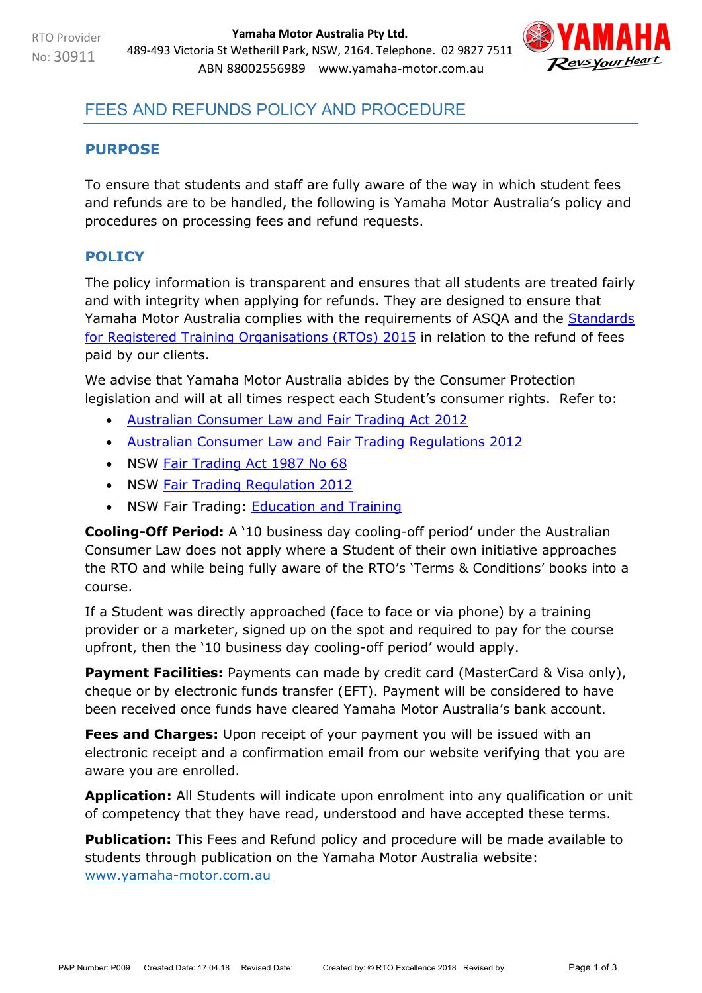

# FEES AND REFUNDS POLICY AND PROCEDURE

#### **PURPOSE**

To ensure that students and staff are fully aware of the way in which student fees and refunds are to be handled, the following is Yamaha Motor Australia's policy and procedures on processing fees and refund requests.

# **POLICY**

The policy information is transparent and ensures that all students are treated fairly and with integrity when applying for refunds. They are designed to ensure that Yamaha Motor Australia complies with the requirements of ASQA and the **Standards** [for Registered Training Organisations \(RTOs\) 2015](https://www.legislation.gov.au/Details/F2017C00663) in relation to the refund of fees paid by our clients.

We advise that Yamaha Motor Australia abides by the Consumer Protection legislation and will at all times respect each Student's consumer rights. Refer to:

- [Australian Consumer Law and Fair Trading Act 2012](http://www.legislation.vic.gov.au/Domino/Web_Notes/LDMS/PubStatbook.nsf/f932b66241ecf1b7ca256e92000e23be/a7a06c0b33b7f723ca2579f80018c9f2/$FILE/12-021abookmarked.pdf)
- [Australian Consumer Law and Fair Trading Regulations 2012](http://www.austlii.edu.au/au/legis/vic/consol_reg/aclaftr2012481/notes.html)
- NSW [Fair Trading Act 1987 No 68](http://www.legislation.nsw.gov.au/maintop/view/inforce/act+68+1987+cd+0+N)
- NSW [Fair Trading Regulation 2012](http://www.legislation.nsw.gov.au/maintop/view/inforce/subordleg+427+2012+cd+0+N)
- NSW Fair Trading: **Education and Training**

**Cooling-Off Period:** A '10 business day cooling-off period' under the Australian Consumer Law does not apply where a Student of their own initiative approaches the RTO and while being fully aware of the RTO's 'Terms & Conditions' books into a course.

If a Student was directly approached (face to face or via phone) by a training provider or a marketer, signed up on the spot and required to pay for the course upfront, then the '10 business day cooling-off period' would apply.

**Payment Facilities:** Payments can made by credit card (MasterCard & Visa only), cheque or by electronic funds transfer (EFT). Payment will be considered to have been received once funds have cleared Yamaha Motor Australia's bank account.

**Fees and Charges:** Upon receipt of your payment you will be issued with an electronic receipt and a confirmation email from our website verifying that you are aware you are enrolled.

**Application:** All Students will indicate upon enrolment into any qualification or unit of competency that they have read, understood and have accepted these terms.

**Publication:** This Fees and Refund policy and procedure will be made available to students through publication on the Yamaha Motor Australia website: [www.yamaha-motor.com.au](http://www.yamaha-motor.com.au/)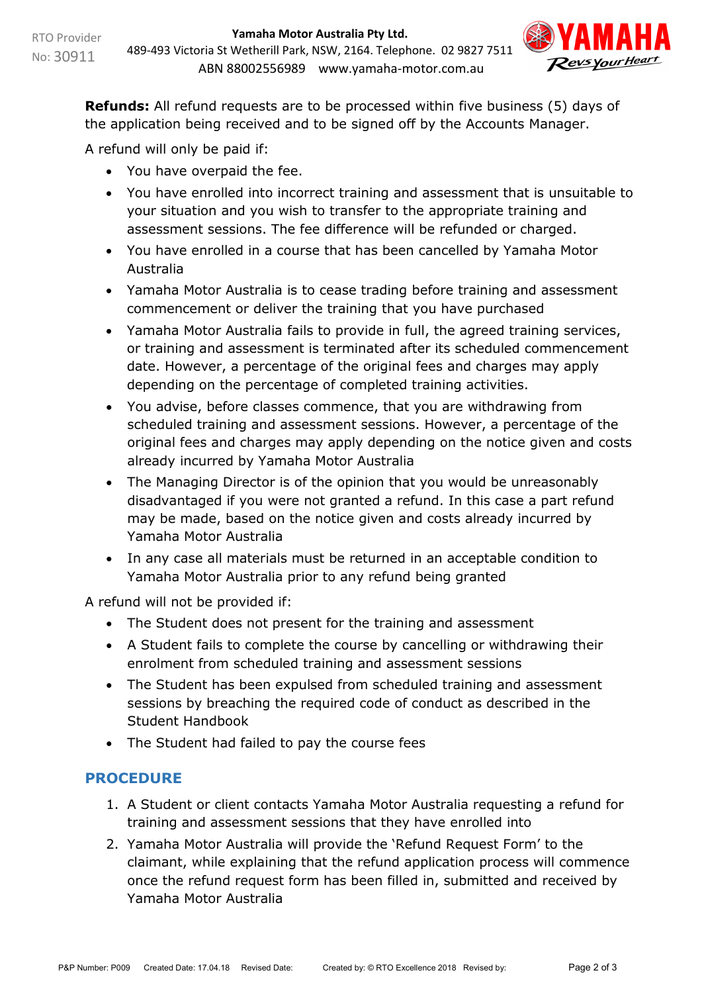

**Refunds:** All refund requests are to be processed within five business (5) days of the application being received and to be signed off by the Accounts Manager.

A refund will only be paid if:

- You have overpaid the fee.
- You have enrolled into incorrect training and assessment that is unsuitable to your situation and you wish to transfer to the appropriate training and assessment sessions. The fee difference will be refunded or charged.
- You have enrolled in a course that has been cancelled by Yamaha Motor Australia
- Yamaha Motor Australia is to cease trading before training and assessment commencement or deliver the training that you have purchased
- Yamaha Motor Australia fails to provide in full, the agreed training services, or training and assessment is terminated after its scheduled commencement date. However, a percentage of the original fees and charges may apply depending on the percentage of completed training activities.
- You advise, before classes commence, that you are withdrawing from scheduled training and assessment sessions. However, a percentage of the original fees and charges may apply depending on the notice given and costs already incurred by Yamaha Motor Australia
- The Managing Director is of the opinion that you would be unreasonably disadvantaged if you were not granted a refund. In this case a part refund may be made, based on the notice given and costs already incurred by Yamaha Motor Australia
- In any case all materials must be returned in an acceptable condition to Yamaha Motor Australia prior to any refund being granted

A refund will not be provided if:

- The Student does not present for the training and assessment
- A Student fails to complete the course by cancelling or withdrawing their enrolment from scheduled training and assessment sessions
- The Student has been expulsed from scheduled training and assessment sessions by breaching the required code of conduct as described in the Student Handbook
- The Student had failed to pay the course fees

## **PROCEDURE**

- 1. A Student or client contacts Yamaha Motor Australia requesting a refund for training and assessment sessions that they have enrolled into
- 2. Yamaha Motor Australia will provide the 'Refund Request Form' to the claimant, while explaining that the refund application process will commence once the refund request form has been filled in, submitted and received by Yamaha Motor Australia